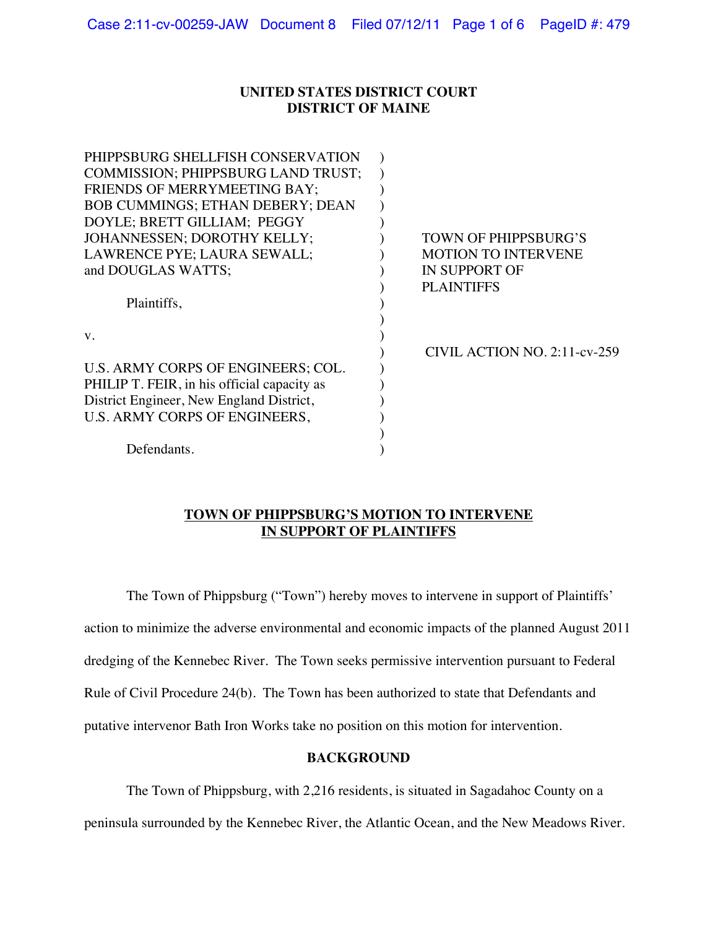### **UNITED STATES DISTRICT COURT DISTRICT OF MAINE**

| PHIPPSBURG SHELLFISH CONSERVATION           |                              |
|---------------------------------------------|------------------------------|
| COMMISSION; PHIPPSBURG LAND TRUST;          |                              |
| FRIENDS OF MERRYMEETING BAY;                |                              |
| <b>BOB CUMMINGS; ETHAN DEBERY; DEAN</b>     |                              |
| DOYLE; BRETT GILLIAM; PEGGY                 |                              |
| JOHANNESSEN; DOROTHY KELLY;                 | TOWN OF PHIPPSBURG'S         |
| LAWRENCE PYE; LAURA SEWALL;                 | <b>MOTION TO INTERVENE</b>   |
| and DOUGLAS WATTS;                          | <b>IN SUPPORT OF</b>         |
|                                             | <b>PLAINTIFFS</b>            |
| Plaintiffs,                                 |                              |
|                                             |                              |
| $V_{\cdot}$                                 |                              |
|                                             | CIVIL ACTION NO. 2:11-cv-259 |
| U.S. ARMY CORPS OF ENGINEERS; COL.          |                              |
| PHILIP T. FEIR, in his official capacity as |                              |
| District Engineer, New England District,    |                              |
| U.S. ARMY CORPS OF ENGINEERS,               |                              |
|                                             |                              |
| Defendants.                                 |                              |
|                                             |                              |

### **TOWN OF PHIPPSBURG'S MOTION TO INTERVENE IN SUPPORT OF PLAINTIFFS**

The Town of Phippsburg ("Town") hereby moves to intervene in support of Plaintiffs' action to minimize the adverse environmental and economic impacts of the planned August 2011 dredging of the Kennebec River. The Town seeks permissive intervention pursuant to Federal Rule of Civil Procedure 24(b). The Town has been authorized to state that Defendants and putative intervenor Bath Iron Works take no position on this motion for intervention.

### **BACKGROUND**

The Town of Phippsburg, with 2,216 residents, is situated in Sagadahoc County on a peninsula surrounded by the Kennebec River, the Atlantic Ocean, and the New Meadows River.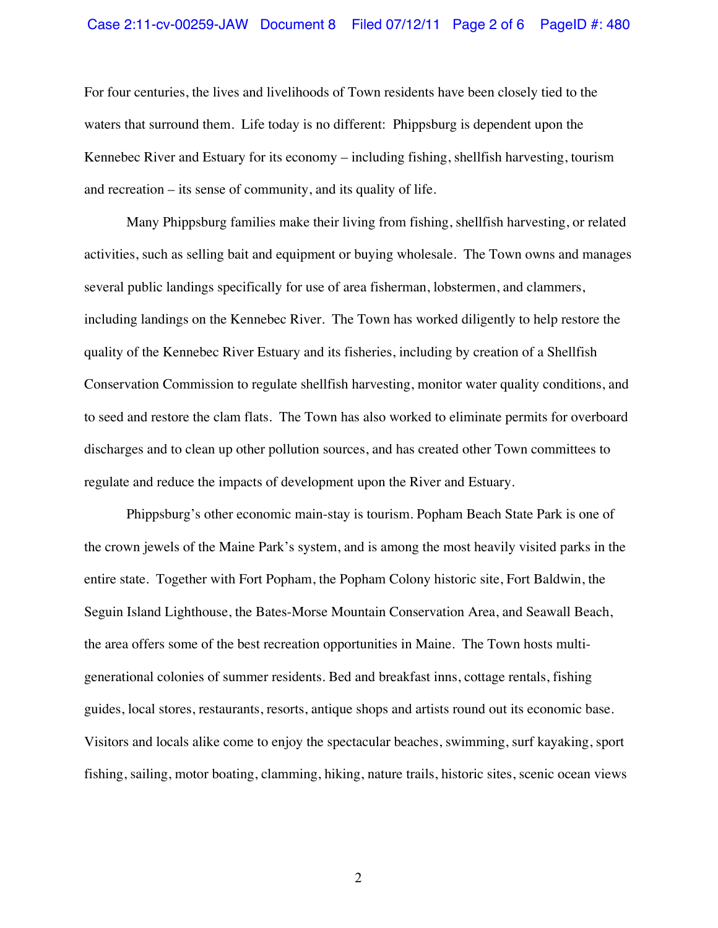### Case 2:11-cv-00259-JAW Document 8 Filed 07/12/11 Page 2 of 6 PageID #: 480

For four centuries, the lives and livelihoods of Town residents have been closely tied to the waters that surround them. Life today is no different: Phippsburg is dependent upon the Kennebec River and Estuary for its economy – including fishing, shellfish harvesting, tourism and recreation – its sense of community, and its quality of life.

Many Phippsburg families make their living from fishing, shellfish harvesting, or related activities, such as selling bait and equipment or buying wholesale. The Town owns and manages several public landings specifically for use of area fisherman, lobstermen, and clammers, including landings on the Kennebec River. The Town has worked diligently to help restore the quality of the Kennebec River Estuary and its fisheries, including by creation of a Shellfish Conservation Commission to regulate shellfish harvesting, monitor water quality conditions, and to seed and restore the clam flats. The Town has also worked to eliminate permits for overboard discharges and to clean up other pollution sources, and has created other Town committees to regulate and reduce the impacts of development upon the River and Estuary.

Phippsburg's other economic main-stay is tourism. Popham Beach State Park is one of the crown jewels of the Maine Park's system, and is among the most heavily visited parks in the entire state. Together with Fort Popham, the Popham Colony historic site, Fort Baldwin, the Seguin Island Lighthouse, the Bates-Morse Mountain Conservation Area, and Seawall Beach, the area offers some of the best recreation opportunities in Maine. The Town hosts multigenerational colonies of summer residents. Bed and breakfast inns, cottage rentals, fishing guides, local stores, restaurants, resorts, antique shops and artists round out its economic base. Visitors and locals alike come to enjoy the spectacular beaches, swimming, surf kayaking, sport fishing, sailing, motor boating, clamming, hiking, nature trails, historic sites, scenic ocean views

2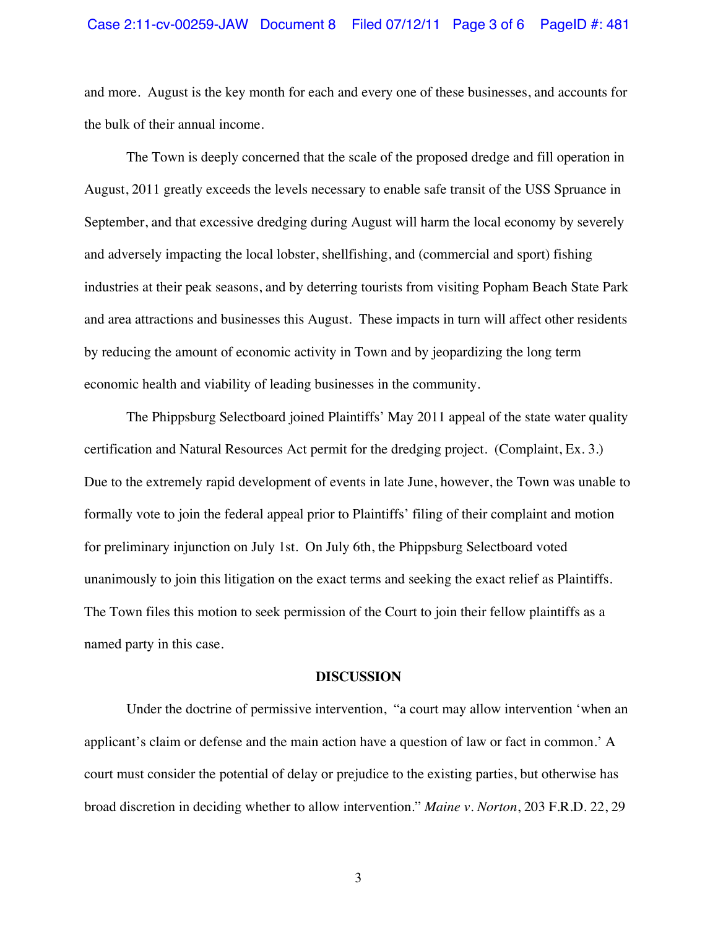#### Case 2:11-cv-00259-JAW Document 8 Filed 07/12/11 Page 3 of 6 PageID #: 481

and more. August is the key month for each and every one of these businesses, and accounts for the bulk of their annual income.

The Town is deeply concerned that the scale of the proposed dredge and fill operation in August, 2011 greatly exceeds the levels necessary to enable safe transit of the USS Spruance in September, and that excessive dredging during August will harm the local economy by severely and adversely impacting the local lobster, shellfishing, and (commercial and sport) fishing industries at their peak seasons, and by deterring tourists from visiting Popham Beach State Park and area attractions and businesses this August. These impacts in turn will affect other residents by reducing the amount of economic activity in Town and by jeopardizing the long term economic health and viability of leading businesses in the community.

The Phippsburg Selectboard joined Plaintiffs' May 2011 appeal of the state water quality certification and Natural Resources Act permit for the dredging project. (Complaint, Ex. 3.) Due to the extremely rapid development of events in late June, however, the Town was unable to formally vote to join the federal appeal prior to Plaintiffs' filing of their complaint and motion for preliminary injunction on July 1st. On July 6th, the Phippsburg Selectboard voted unanimously to join this litigation on the exact terms and seeking the exact relief as Plaintiffs. The Town files this motion to seek permission of the Court to join their fellow plaintiffs as a named party in this case.

#### **DISCUSSION**

Under the doctrine of permissive intervention, "a court may allow intervention 'when an applicant's claim or defense and the main action have a question of law or fact in common.' A court must consider the potential of delay or prejudice to the existing parties, but otherwise has broad discretion in deciding whether to allow intervention." *Maine v. Norton*, 203 F.R.D. 22, 29

3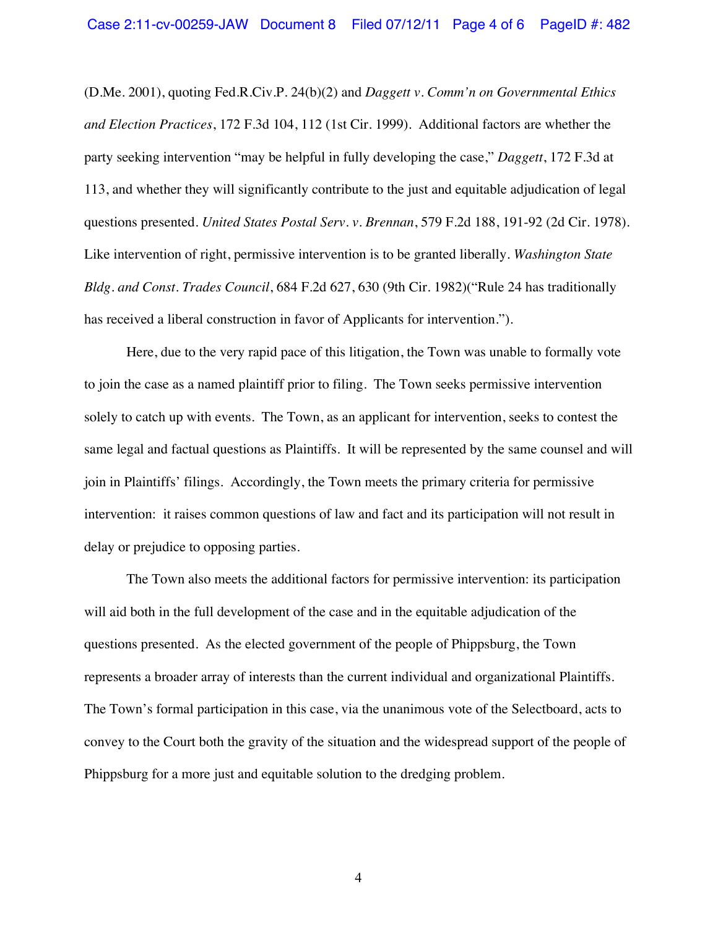(D.Me. 2001), quoting Fed.R.Civ.P. 24(b)(2) and *Daggett v. Comm'n on Governmental Ethics and Election Practices*, 172 F.3d 104, 112 (1st Cir. 1999). Additional factors are whether the party seeking intervention "may be helpful in fully developing the case," *Daggett*, 172 F.3d at 113, and whether they will significantly contribute to the just and equitable adjudication of legal questions presented. *United States Postal Serv. v. Brennan*, 579 F.2d 188, 191-92 (2d Cir. 1978). Like intervention of right, permissive intervention is to be granted liberally. *Washington State Bldg. and Const. Trades Council*, 684 F.2d 627, 630 (9th Cir. 1982)("Rule 24 has traditionally has received a liberal construction in favor of Applicants for intervention.").

Here, due to the very rapid pace of this litigation, the Town was unable to formally vote to join the case as a named plaintiff prior to filing. The Town seeks permissive intervention solely to catch up with events. The Town, as an applicant for intervention, seeks to contest the same legal and factual questions as Plaintiffs. It will be represented by the same counsel and will join in Plaintiffs' filings. Accordingly, the Town meets the primary criteria for permissive intervention: it raises common questions of law and fact and its participation will not result in delay or prejudice to opposing parties.

The Town also meets the additional factors for permissive intervention: its participation will aid both in the full development of the case and in the equitable adjudication of the questions presented. As the elected government of the people of Phippsburg, the Town represents a broader array of interests than the current individual and organizational Plaintiffs. The Town's formal participation in this case, via the unanimous vote of the Selectboard, acts to convey to the Court both the gravity of the situation and the widespread support of the people of Phippsburg for a more just and equitable solution to the dredging problem.

4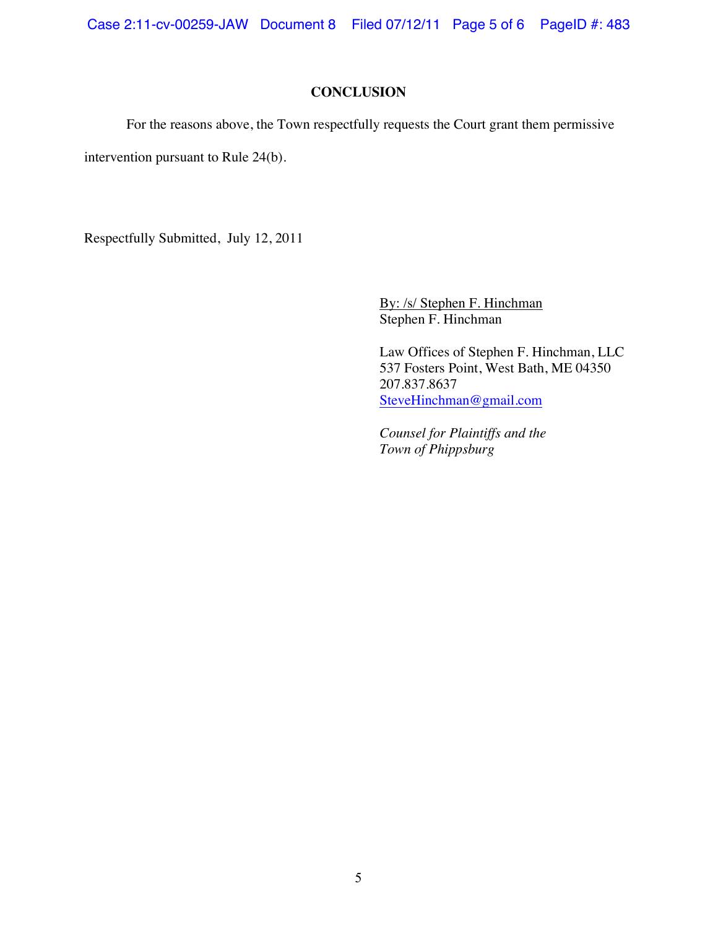Case 2:11-cv-00259-JAW Document 8 Filed 07/12/11 Page 5 of 6 PageID #: 483

# **CONCLUSION**

For the reasons above, the Town respectfully requests the Court grant them permissive

intervention pursuant to Rule 24(b).

Respectfully Submitted, July 12, 2011

By: /s/ Stephen F. Hinchman Stephen F. Hinchman

Law Offices of Stephen F. Hinchman, LLC 537 Fosters Point, West Bath, ME 04350 207.837.8637 SteveHinchman@gmail.com

*Counsel for Plaintiffs and the Town of Phippsburg*